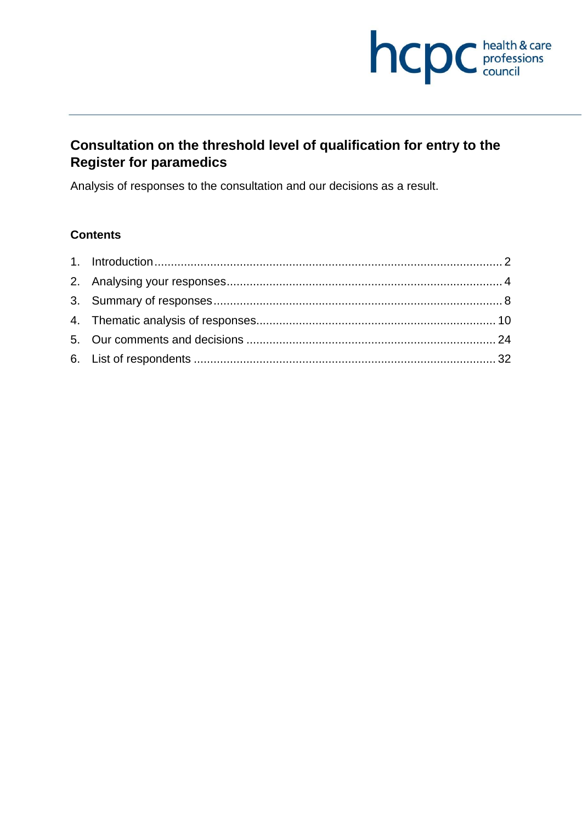

# **Consultation on the threshold level of qualification for entry to the Register for paramedics**

Analysis of responses to the consultation and our decisions as a result.

## **Contents**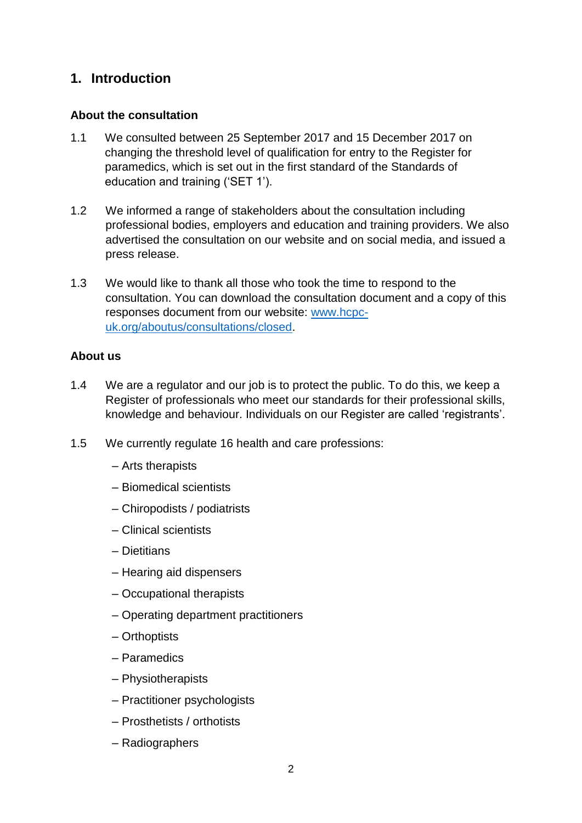## **1. Introduction**

#### **About the consultation**

- 1.1 We consulted between 25 September 2017 and 15 December 2017 on changing the threshold level of qualification for entry to the Register for paramedics, which is set out in the first standard of the Standards of education and training ('SET 1').
- 1.2 We informed a range of stakeholders about the consultation including professional bodies, employers and education and training providers. We also advertised the consultation on our website and on social media, and issued a press release.
- 1.3 We would like to thank all those who took the time to respond to the consultation. You can download the consultation document and a copy of this responses document from our website: www.hcpcuk.org/aboutus/consultations/closed.

#### **About us**

- 1.4 We are a regulator and our job is to protect the public. To do this, we keep a Register of professionals who meet our standards for their professional skills, knowledge and behaviour. Individuals on our Register are called 'registrants'.
- 1.5 We currently regulate 16 health and care professions:
	- Arts therapists
	- Biomedical scientists
	- Chiropodists / podiatrists
	- Clinical scientists
	- Dietitians
	- Hearing aid dispensers
	- Occupational therapists
	- Operating department practitioners
	- Orthoptists
	- Paramedics
	- Physiotherapists
	- Practitioner psychologists
	- Prosthetists / orthotists
	- Radiographers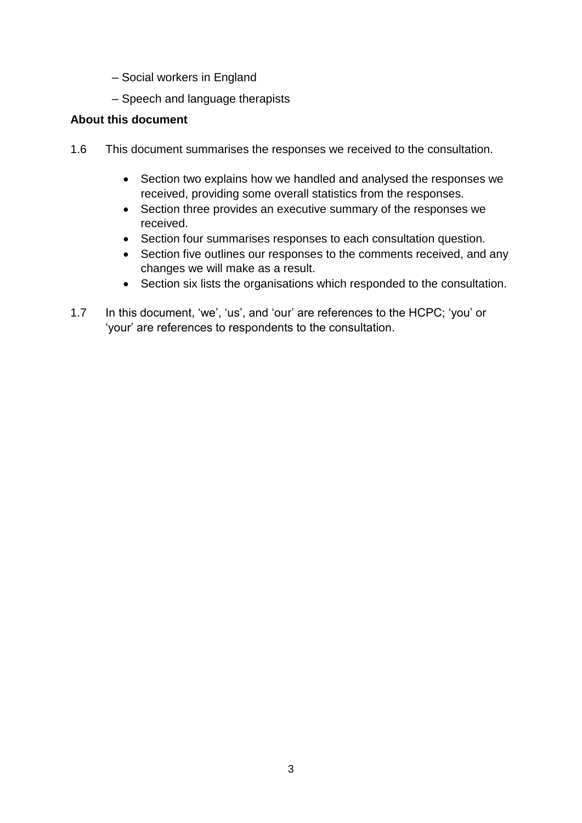- Social workers in England
- Speech and language therapists

#### **About this document**

- 1.6 This document summarises the responses we received to the consultation.
	- Section two explains how we handled and analysed the responses we received, providing some overall statistics from the responses.
	- Section three provides an executive summary of the responses we received.
	- Section four summarises responses to each consultation question.
	- Section five outlines our responses to the comments received, and any changes we will make as a result.
	- Section six lists the organisations which responded to the consultation.
- 1.7 In this document, 'we', 'us', and 'our' are references to the HCPC; 'you' or 'your' are references to respondents to the consultation.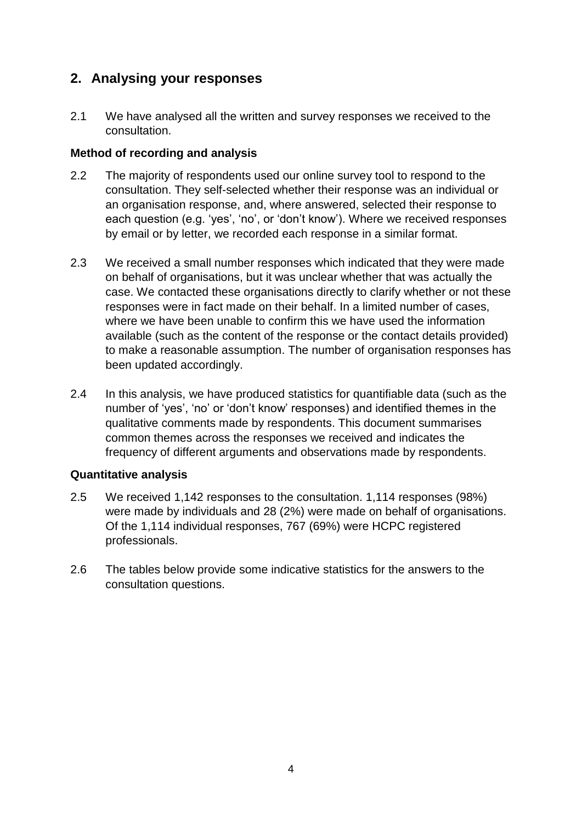## **2. Analysing your responses**

2.1 We have analysed all the written and survey responses we received to the consultation.

## **Method of recording and analysis**

- 2.2 The majority of respondents used our online survey tool to respond to the consultation. They self-selected whether their response was an individual or an organisation response, and, where answered, selected their response to each question (e.g. 'yes', 'no', or 'don't know'). Where we received responses by email or by letter, we recorded each response in a similar format.
- 2.3 We received a small number responses which indicated that they were made on behalf of organisations, but it was unclear whether that was actually the case. We contacted these organisations directly to clarify whether or not these responses were in fact made on their behalf. In a limited number of cases, where we have been unable to confirm this we have used the information available (such as the content of the response or the contact details provided) to make a reasonable assumption. The number of organisation responses has been updated accordingly.
- 2.4 In this analysis, we have produced statistics for quantifiable data (such as the number of 'yes', 'no' or 'don't know' responses) and identified themes in the qualitative comments made by respondents. This document summarises common themes across the responses we received and indicates the frequency of different arguments and observations made by respondents.

## **Quantitative analysis**

- 2.5 We received 1,142 responses to the consultation. 1,114 responses (98%) were made by individuals and 28 (2%) were made on behalf of organisations. Of the 1,114 individual responses, 767 (69%) were HCPC registered professionals.
- 2.6 The tables below provide some indicative statistics for the answers to the consultation questions.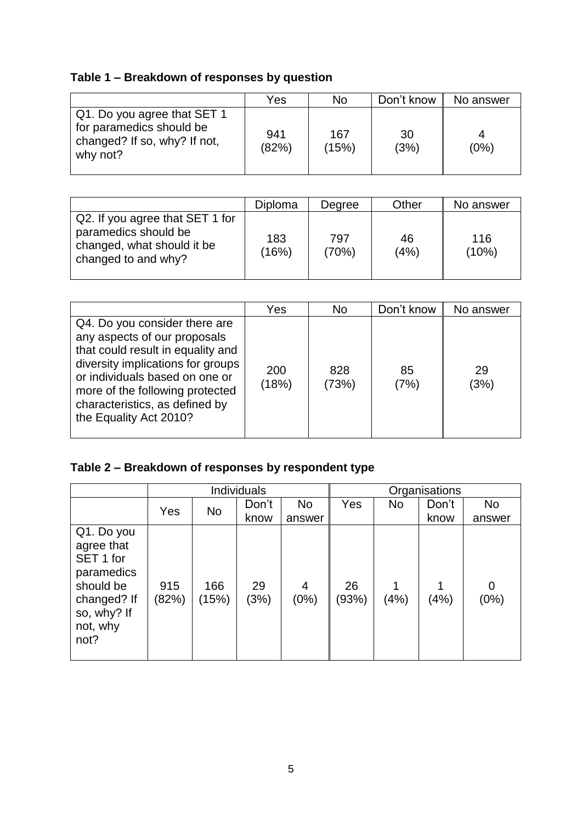# **Table 1 – Breakdown of responses by question**

|                                                                                                     | Yes          | No           | Don't know | No answer |
|-----------------------------------------------------------------------------------------------------|--------------|--------------|------------|-----------|
| Q1. Do you agree that SET 1<br>for paramedics should be<br>changed? If so, why? If not,<br>why not? | 941<br>(82%) | 167<br>(15%) | 30<br>(3%) | (0%)      |

|                                                                                                              | Diploma      | Degree       | Other      | No answer    |
|--------------------------------------------------------------------------------------------------------------|--------------|--------------|------------|--------------|
| Q2. If you agree that SET 1 for<br>paramedics should be<br>changed, what should it be<br>changed to and why? | 183<br>(16%) | 797<br>(70%) | 46<br>(4%) | 116<br>(10%) |

|                                                                                                                                                                                                                                                                          | Yes          | <b>No</b>    | Don't know | No answer  |
|--------------------------------------------------------------------------------------------------------------------------------------------------------------------------------------------------------------------------------------------------------------------------|--------------|--------------|------------|------------|
| Q4. Do you consider there are<br>any aspects of our proposals<br>that could result in equality and<br>diversity implications for groups<br>or individuals based on one or<br>more of the following protected<br>characteristics, as defined by<br>the Equality Act 2010? | 200<br>(18%) | 828<br>(73%) | 85<br>(7%) | 29<br>(3%) |

# **Table 2 – Breakdown of responses by respondent type**

|                                                                                                                    |              |              | <b>Individuals</b> |           |             |       | Organisations |           |
|--------------------------------------------------------------------------------------------------------------------|--------------|--------------|--------------------|-----------|-------------|-------|---------------|-----------|
|                                                                                                                    | Yes<br>No    | Don't        | <b>No</b>          | Yes       | <b>No</b>   | Don't | No            |           |
|                                                                                                                    |              |              | know               | answer    |             |       | know          | answer    |
| Q1. Do you<br>agree that<br>SET 1 for<br>paramedics<br>should be<br>changed? If<br>so, why? If<br>not, why<br>not? | 915<br>(82%) | 166<br>(15%) | 29<br>(3%)         | 4<br>(0%) | 26<br>(93%) | (4%)  | (4%)          | 0<br>(0%) |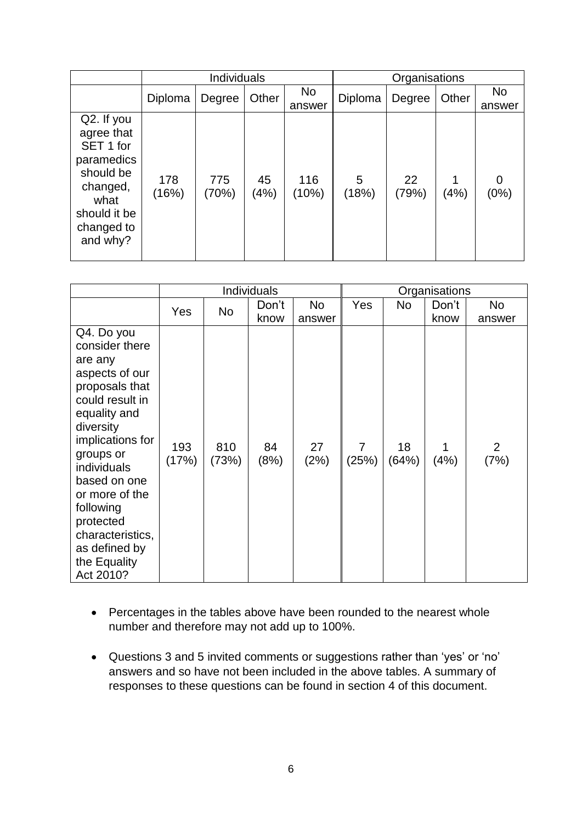|                                                                                                                                |              | <b>Individuals</b> |            |                     | Organisations |             |       |                     |
|--------------------------------------------------------------------------------------------------------------------------------|--------------|--------------------|------------|---------------------|---------------|-------------|-------|---------------------|
|                                                                                                                                | Diploma      | Degree             | Other      | <b>No</b><br>answer | Diploma       | Degree      | Other | <b>No</b><br>answer |
| Q2. If you<br>agree that<br>SET 1 for<br>paramedics<br>should be<br>changed,<br>what<br>should it be<br>changed to<br>and why? | 178<br>(16%) | 775<br>(70%)       | 45<br>(4%) | 116<br>(10%)        | 5<br>(18%)    | 22<br>(79%) | (4%)  | 0<br>(0%)           |

|                                                                                                                                                                                                                                                                                                           | <b>Individuals</b> |              |               |                          |                         |             | Organisations |                          |
|-----------------------------------------------------------------------------------------------------------------------------------------------------------------------------------------------------------------------------------------------------------------------------------------------------------|--------------------|--------------|---------------|--------------------------|-------------------------|-------------|---------------|--------------------------|
|                                                                                                                                                                                                                                                                                                           | Yes                | No           | Don't<br>know | N <sub>o</sub><br>answer | Yes                     | No          | Don't<br>know | N <sub>o</sub><br>answer |
| Q4. Do you<br>consider there<br>are any<br>aspects of our<br>proposals that<br>could result in<br>equality and<br>diversity<br>implications for<br>groups or<br>individuals<br>based on one<br>or more of the<br>following<br>protected<br>characteristics,<br>as defined by<br>the Equality<br>Act 2010? | 193<br>(17%)       | 810<br>(73%) | 84<br>(8%)    | 27<br>(2%)               | $\overline{7}$<br>(25%) | 18<br>(64%) | (4%)          | $\overline{2}$<br>(7%)   |

- Percentages in the tables above have been rounded to the nearest whole number and therefore may not add up to 100%.
- Questions 3 and 5 invited comments or suggestions rather than 'yes' or 'no' answers and so have not been included in the above tables. A summary of responses to these questions can be found in section 4 of this document.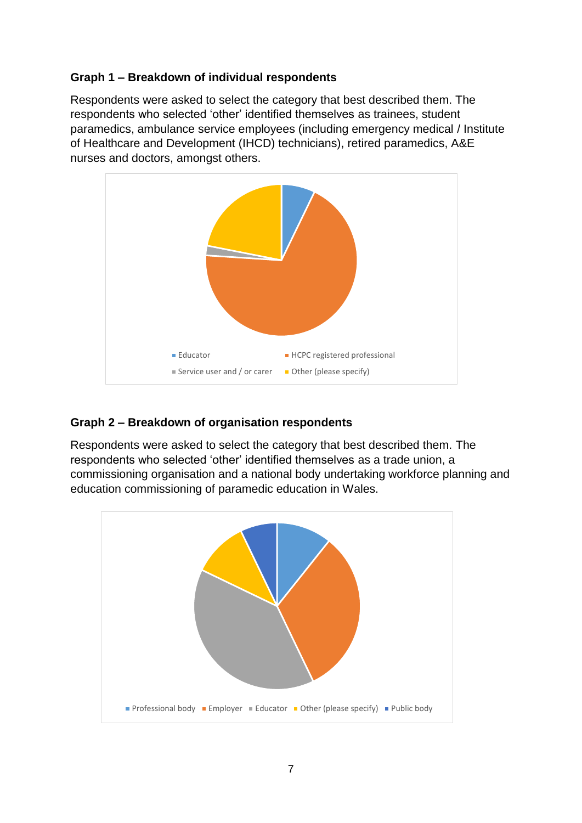## **Graph 1 – Breakdown of individual respondents**

Respondents were asked to select the category that best described them. The respondents who selected 'other' identified themselves as trainees, student paramedics, ambulance service employees (including emergency medical / Institute of Healthcare and Development (IHCD) technicians), retired paramedics, A&E nurses and doctors, amongst others.



## **Graph 2 – Breakdown of organisation respondents**

Respondents were asked to select the category that best described them. The respondents who selected 'other' identified themselves as a trade union, a commissioning organisation and a national body undertaking workforce planning and education commissioning of paramedic education in Wales.

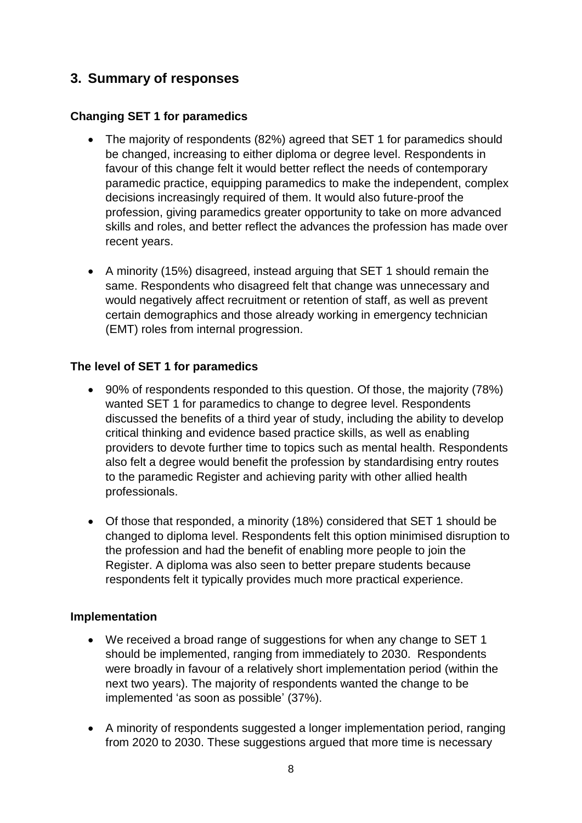## **3. Summary of responses**

## **Changing SET 1 for paramedics**

- The majority of respondents (82%) agreed that SET 1 for paramedics should be changed, increasing to either diploma or degree level. Respondents in favour of this change felt it would better reflect the needs of contemporary paramedic practice, equipping paramedics to make the independent, complex decisions increasingly required of them. It would also future-proof the profession, giving paramedics greater opportunity to take on more advanced skills and roles, and better reflect the advances the profession has made over recent years.
- A minority (15%) disagreed, instead arguing that SET 1 should remain the same. Respondents who disagreed felt that change was unnecessary and would negatively affect recruitment or retention of staff, as well as prevent certain demographics and those already working in emergency technician (EMT) roles from internal progression.

## **The level of SET 1 for paramedics**

- 90% of respondents responded to this question. Of those, the majority (78%) wanted SET 1 for paramedics to change to degree level. Respondents discussed the benefits of a third year of study, including the ability to develop critical thinking and evidence based practice skills, as well as enabling providers to devote further time to topics such as mental health. Respondents also felt a degree would benefit the profession by standardising entry routes to the paramedic Register and achieving parity with other allied health professionals.
- Of those that responded, a minority (18%) considered that SET 1 should be changed to diploma level. Respondents felt this option minimised disruption to the profession and had the benefit of enabling more people to join the Register. A diploma was also seen to better prepare students because respondents felt it typically provides much more practical experience.

## **Implementation**

- We received a broad range of suggestions for when any change to SET 1 should be implemented, ranging from immediately to 2030. Respondents were broadly in favour of a relatively short implementation period (within the next two years). The majority of respondents wanted the change to be implemented 'as soon as possible' (37%).
- A minority of respondents suggested a longer implementation period, ranging from 2020 to 2030. These suggestions argued that more time is necessary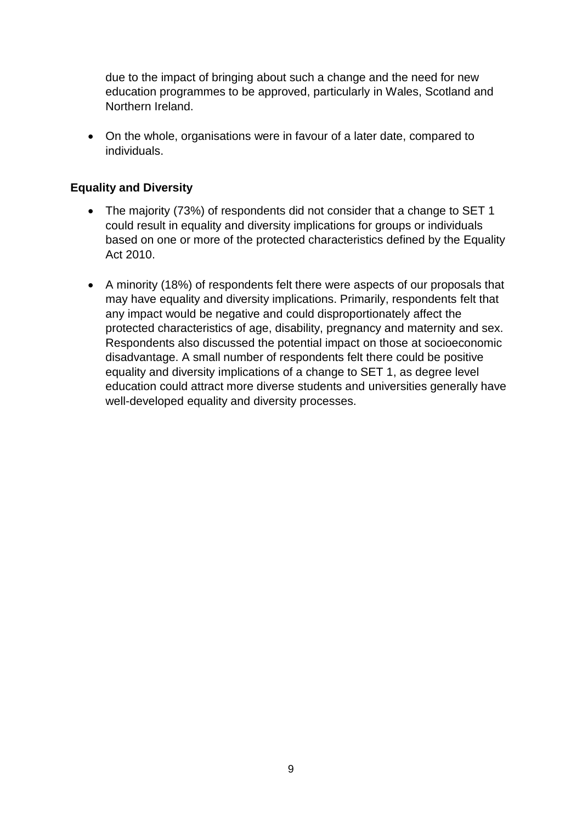due to the impact of bringing about such a change and the need for new education programmes to be approved, particularly in Wales, Scotland and Northern Ireland.

 On the whole, organisations were in favour of a later date, compared to individuals.

#### **Equality and Diversity**

- The majority (73%) of respondents did not consider that a change to SET 1 could result in equality and diversity implications for groups or individuals based on one or more of the protected characteristics defined by the Equality Act 2010.
- A minority (18%) of respondents felt there were aspects of our proposals that may have equality and diversity implications. Primarily, respondents felt that any impact would be negative and could disproportionately affect the protected characteristics of age, disability, pregnancy and maternity and sex. Respondents also discussed the potential impact on those at socioeconomic disadvantage. A small number of respondents felt there could be positive equality and diversity implications of a change to SET 1, as degree level education could attract more diverse students and universities generally have well-developed equality and diversity processes.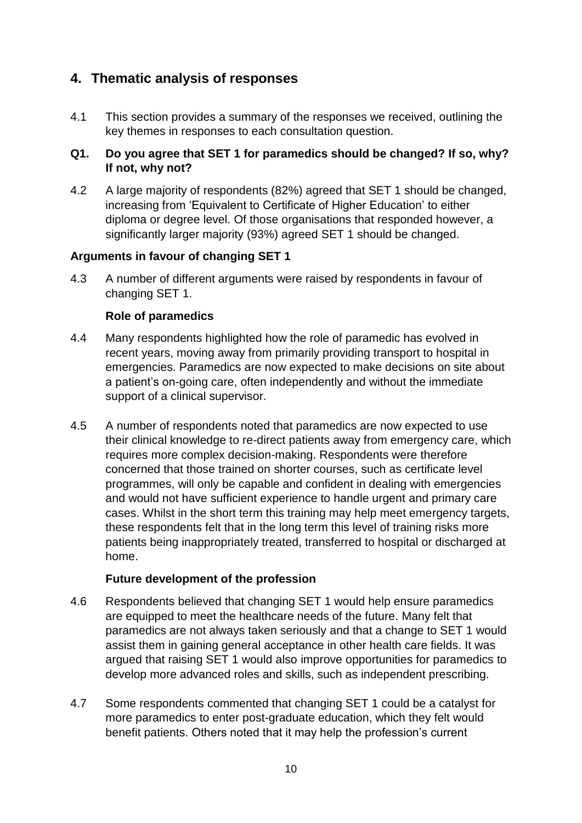## **4. Thematic analysis of responses**

4.1 This section provides a summary of the responses we received, outlining the key themes in responses to each consultation question.

## **Q1. Do you agree that SET 1 for paramedics should be changed? If so, why? If not, why not?**

4.2 A large majority of respondents (82%) agreed that SET 1 should be changed, increasing from 'Equivalent to Certificate of Higher Education' to either diploma or degree level. Of those organisations that responded however, a significantly larger majority (93%) agreed SET 1 should be changed.

## **Arguments in favour of changing SET 1**

4.3 A number of different arguments were raised by respondents in favour of changing SET 1.

## **Role of paramedics**

- 4.4 Many respondents highlighted how the role of paramedic has evolved in recent years, moving away from primarily providing transport to hospital in emergencies. Paramedics are now expected to make decisions on site about a patient's on-going care, often independently and without the immediate support of a clinical supervisor.
- 4.5 A number of respondents noted that paramedics are now expected to use their clinical knowledge to re-direct patients away from emergency care, which requires more complex decision-making. Respondents were therefore concerned that those trained on shorter courses, such as certificate level programmes, will only be capable and confident in dealing with emergencies and would not have sufficient experience to handle urgent and primary care cases. Whilst in the short term this training may help meet emergency targets, these respondents felt that in the long term this level of training risks more patients being inappropriately treated, transferred to hospital or discharged at home.

## **Future development of the profession**

- 4.6 Respondents believed that changing SET 1 would help ensure paramedics are equipped to meet the healthcare needs of the future. Many felt that paramedics are not always taken seriously and that a change to SET 1 would assist them in gaining general acceptance in other health care fields. It was argued that raising SET 1 would also improve opportunities for paramedics to develop more advanced roles and skills, such as independent prescribing.
- 4.7 Some respondents commented that changing SET 1 could be a catalyst for more paramedics to enter post-graduate education, which they felt would benefit patients. Others noted that it may help the profession's current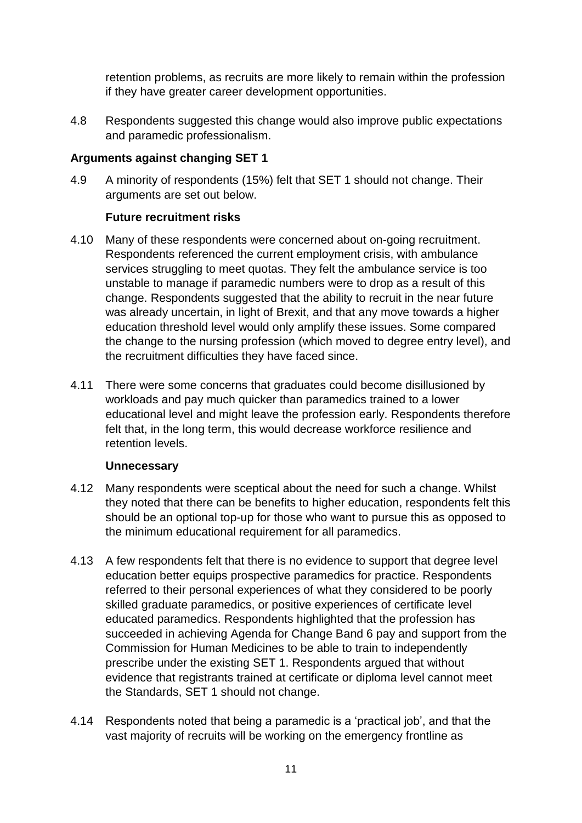retention problems, as recruits are more likely to remain within the profession if they have greater career development opportunities.

4.8 Respondents suggested this change would also improve public expectations and paramedic professionalism.

## **Arguments against changing SET 1**

4.9 A minority of respondents (15%) felt that SET 1 should not change. Their arguments are set out below.

## **Future recruitment risks**

- 4.10 Many of these respondents were concerned about on-going recruitment. Respondents referenced the current employment crisis, with ambulance services struggling to meet quotas. They felt the ambulance service is too unstable to manage if paramedic numbers were to drop as a result of this change. Respondents suggested that the ability to recruit in the near future was already uncertain, in light of Brexit, and that any move towards a higher education threshold level would only amplify these issues. Some compared the change to the nursing profession (which moved to degree entry level), and the recruitment difficulties they have faced since.
- 4.11 There were some concerns that graduates could become disillusioned by workloads and pay much quicker than paramedics trained to a lower educational level and might leave the profession early. Respondents therefore felt that, in the long term, this would decrease workforce resilience and retention levels.

## **Unnecessary**

- 4.12 Many respondents were sceptical about the need for such a change. Whilst they noted that there can be benefits to higher education, respondents felt this should be an optional top-up for those who want to pursue this as opposed to the minimum educational requirement for all paramedics.
- 4.13 A few respondents felt that there is no evidence to support that degree level education better equips prospective paramedics for practice. Respondents referred to their personal experiences of what they considered to be poorly skilled graduate paramedics, or positive experiences of certificate level educated paramedics. Respondents highlighted that the profession has succeeded in achieving Agenda for Change Band 6 pay and support from the Commission for Human Medicines to be able to train to independently prescribe under the existing SET 1. Respondents argued that without evidence that registrants trained at certificate or diploma level cannot meet the Standards, SET 1 should not change.
- 4.14 Respondents noted that being a paramedic is a 'practical job', and that the vast majority of recruits will be working on the emergency frontline as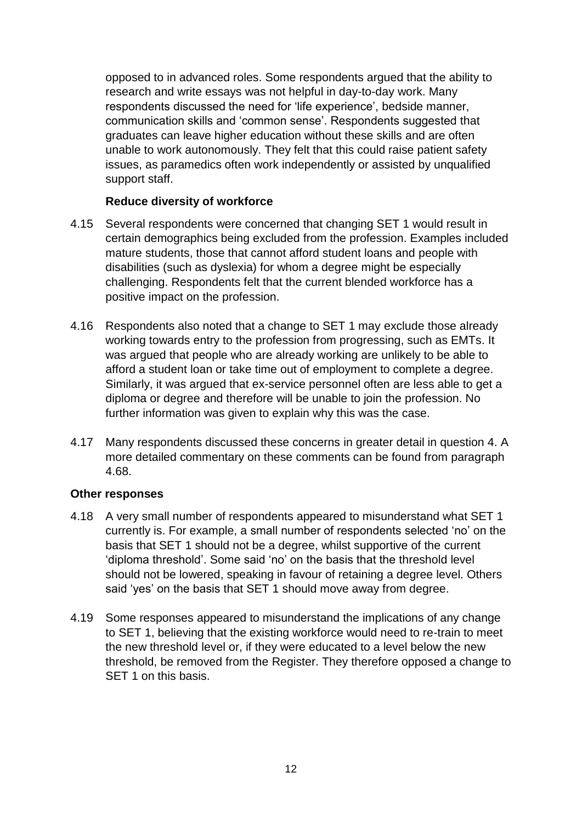opposed to in advanced roles. Some respondents argued that the ability to research and write essays was not helpful in day-to-day work. Many respondents discussed the need for 'life experience', bedside manner, communication skills and 'common sense'. Respondents suggested that graduates can leave higher education without these skills and are often unable to work autonomously. They felt that this could raise patient safety issues, as paramedics often work independently or assisted by unqualified support staff.

#### **Reduce diversity of workforce**

- 4.15 Several respondents were concerned that changing SET 1 would result in certain demographics being excluded from the profession. Examples included mature students, those that cannot afford student loans and people with disabilities (such as dyslexia) for whom a degree might be especially challenging. Respondents felt that the current blended workforce has a positive impact on the profession.
- 4.16 Respondents also noted that a change to SET 1 may exclude those already working towards entry to the profession from progressing, such as EMTs. It was argued that people who are already working are unlikely to be able to afford a student loan or take time out of employment to complete a degree. Similarly, it was argued that ex-service personnel often are less able to get a diploma or degree and therefore will be unable to join the profession. No further information was given to explain why this was the case.
- 4.17 Many respondents discussed these concerns in greater detail in question 4. A more detailed commentary on these comments can be found from paragraph 4.68.

#### **Other responses**

- 4.18 A very small number of respondents appeared to misunderstand what SET 1 currently is. For example, a small number of respondents selected 'no' on the basis that SET 1 should not be a degree, whilst supportive of the current 'diploma threshold'. Some said 'no' on the basis that the threshold level should not be lowered, speaking in favour of retaining a degree level. Others said 'yes' on the basis that SET 1 should move away from degree.
- 4.19 Some responses appeared to misunderstand the implications of any change to SET 1, believing that the existing workforce would need to re-train to meet the new threshold level or, if they were educated to a level below the new threshold, be removed from the Register. They therefore opposed a change to SET 1 on this basis.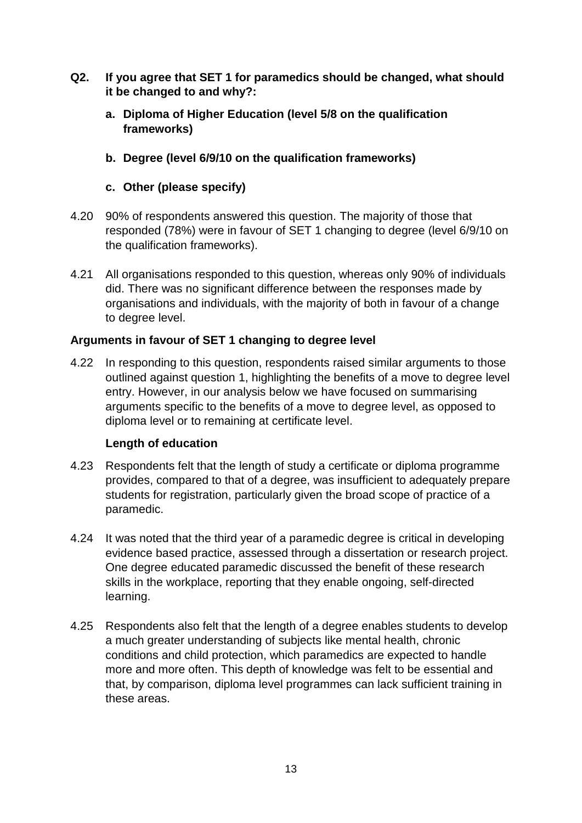- **Q2. If you agree that SET 1 for paramedics should be changed, what should it be changed to and why?:**
	- **a. Diploma of Higher Education (level 5/8 on the qualification frameworks)**
	- **b. Degree (level 6/9/10 on the qualification frameworks)**

## **c. Other (please specify)**

- 4.20 90% of respondents answered this question. The majority of those that responded (78%) were in favour of SET 1 changing to degree (level 6/9/10 on the qualification frameworks).
- 4.21 All organisations responded to this question, whereas only 90% of individuals did. There was no significant difference between the responses made by organisations and individuals, with the majority of both in favour of a change to degree level.

## **Arguments in favour of SET 1 changing to degree level**

4.22 In responding to this question, respondents raised similar arguments to those outlined against question 1, highlighting the benefits of a move to degree level entry. However, in our analysis below we have focused on summarising arguments specific to the benefits of a move to degree level, as opposed to diploma level or to remaining at certificate level.

## **Length of education**

- 4.23 Respondents felt that the length of study a certificate or diploma programme provides, compared to that of a degree, was insufficient to adequately prepare students for registration, particularly given the broad scope of practice of a paramedic.
- 4.24 It was noted that the third year of a paramedic degree is critical in developing evidence based practice, assessed through a dissertation or research project. One degree educated paramedic discussed the benefit of these research skills in the workplace, reporting that they enable ongoing, self-directed learning.
- 4.25 Respondents also felt that the length of a degree enables students to develop a much greater understanding of subjects like mental health, chronic conditions and child protection, which paramedics are expected to handle more and more often. This depth of knowledge was felt to be essential and that, by comparison, diploma level programmes can lack sufficient training in these areas.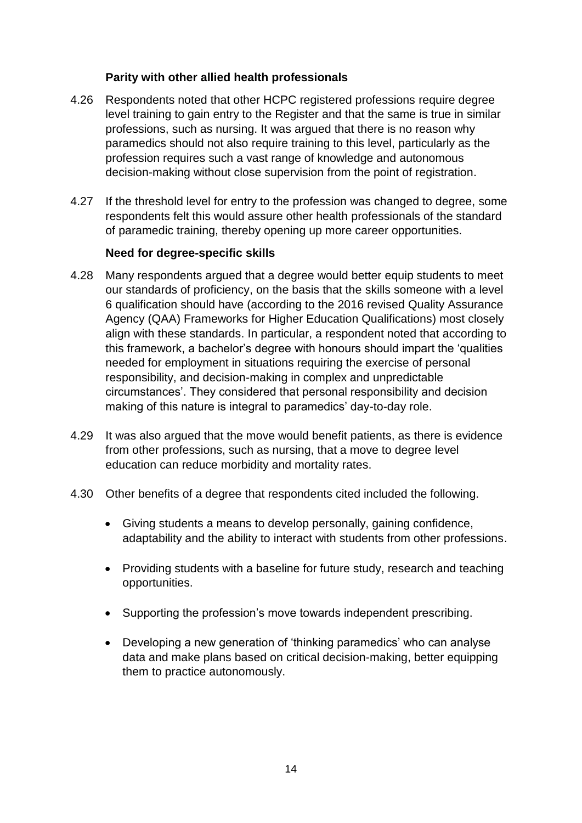#### **Parity with other allied health professionals**

- 4.26 Respondents noted that other HCPC registered professions require degree level training to gain entry to the Register and that the same is true in similar professions, such as nursing. It was argued that there is no reason why paramedics should not also require training to this level, particularly as the profession requires such a vast range of knowledge and autonomous decision-making without close supervision from the point of registration.
- 4.27 If the threshold level for entry to the profession was changed to degree, some respondents felt this would assure other health professionals of the standard of paramedic training, thereby opening up more career opportunities.

#### **Need for degree-specific skills**

- 4.28 Many respondents argued that a degree would better equip students to meet our standards of proficiency, on the basis that the skills someone with a level 6 qualification should have (according to the 2016 revised Quality Assurance Agency (QAA) Frameworks for Higher Education Qualifications) most closely align with these standards. In particular, a respondent noted that according to this framework, a bachelor's degree with honours should impart the 'qualities needed for employment in situations requiring the exercise of personal responsibility, and decision-making in complex and unpredictable circumstances'. They considered that personal responsibility and decision making of this nature is integral to paramedics' day-to-day role.
- 4.29 It was also argued that the move would benefit patients, as there is evidence from other professions, such as nursing, that a move to degree level education can reduce morbidity and mortality rates.
- 4.30 Other benefits of a degree that respondents cited included the following.
	- Giving students a means to develop personally, gaining confidence, adaptability and the ability to interact with students from other professions.
	- Providing students with a baseline for future study, research and teaching opportunities.
	- Supporting the profession's move towards independent prescribing.
	- Developing a new generation of 'thinking paramedics' who can analyse data and make plans based on critical decision-making, better equipping them to practice autonomously.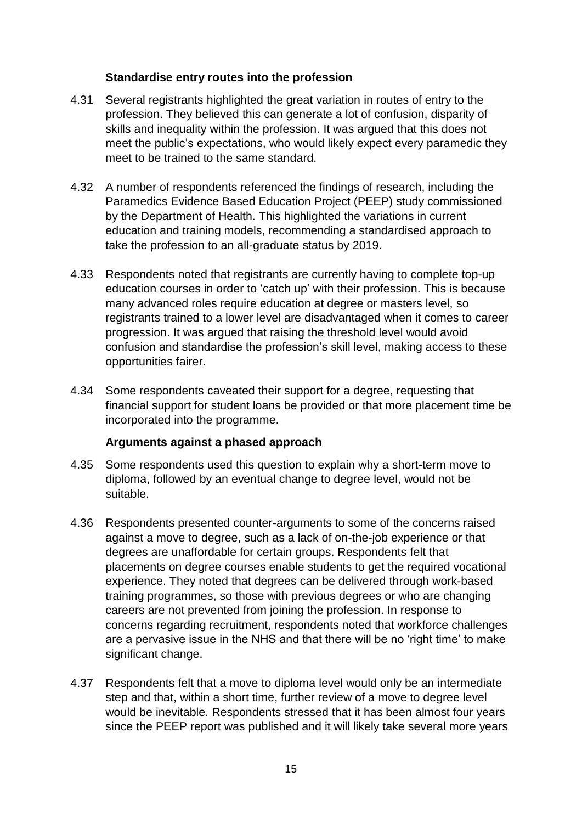#### **Standardise entry routes into the profession**

- 4.31 Several registrants highlighted the great variation in routes of entry to the profession. They believed this can generate a lot of confusion, disparity of skills and inequality within the profession. It was argued that this does not meet the public's expectations, who would likely expect every paramedic they meet to be trained to the same standard.
- 4.32 A number of respondents referenced the findings of research, including the Paramedics Evidence Based Education Project (PEEP) study commissioned by the Department of Health. This highlighted the variations in current education and training models, recommending a standardised approach to take the profession to an all-graduate status by 2019.
- 4.33 Respondents noted that registrants are currently having to complete top-up education courses in order to 'catch up' with their profession. This is because many advanced roles require education at degree or masters level, so registrants trained to a lower level are disadvantaged when it comes to career progression. It was argued that raising the threshold level would avoid confusion and standardise the profession's skill level, making access to these opportunities fairer.
- 4.34 Some respondents caveated their support for a degree, requesting that financial support for student loans be provided or that more placement time be incorporated into the programme.

#### **Arguments against a phased approach**

- 4.35 Some respondents used this question to explain why a short-term move to diploma, followed by an eventual change to degree level, would not be suitable.
- 4.36 Respondents presented counter-arguments to some of the concerns raised against a move to degree, such as a lack of on-the-job experience or that degrees are unaffordable for certain groups. Respondents felt that placements on degree courses enable students to get the required vocational experience. They noted that degrees can be delivered through work-based training programmes, so those with previous degrees or who are changing careers are not prevented from joining the profession. In response to concerns regarding recruitment, respondents noted that workforce challenges are a pervasive issue in the NHS and that there will be no 'right time' to make significant change.
- 4.37 Respondents felt that a move to diploma level would only be an intermediate step and that, within a short time, further review of a move to degree level would be inevitable. Respondents stressed that it has been almost four years since the PEEP report was published and it will likely take several more years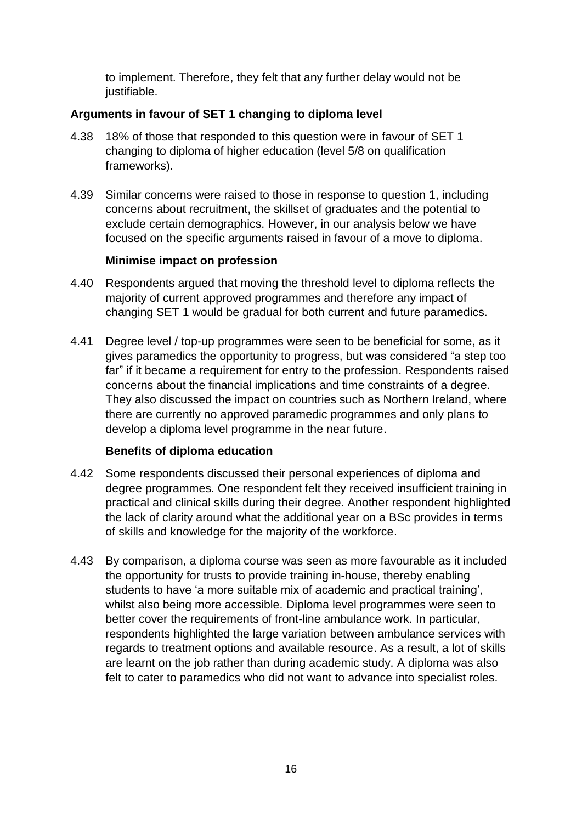to implement. Therefore, they felt that any further delay would not be justifiable.

## **Arguments in favour of SET 1 changing to diploma level**

- 4.38 18% of those that responded to this question were in favour of SET 1 changing to diploma of higher education (level 5/8 on qualification frameworks).
- 4.39 Similar concerns were raised to those in response to question 1, including concerns about recruitment, the skillset of graduates and the potential to exclude certain demographics. However, in our analysis below we have focused on the specific arguments raised in favour of a move to diploma.

## **Minimise impact on profession**

- 4.40 Respondents argued that moving the threshold level to diploma reflects the majority of current approved programmes and therefore any impact of changing SET 1 would be gradual for both current and future paramedics.
- 4.41 Degree level / top-up programmes were seen to be beneficial for some, as it gives paramedics the opportunity to progress, but was considered "a step too far" if it became a requirement for entry to the profession. Respondents raised concerns about the financial implications and time constraints of a degree. They also discussed the impact on countries such as Northern Ireland, where there are currently no approved paramedic programmes and only plans to develop a diploma level programme in the near future.

## **Benefits of diploma education**

- 4.42 Some respondents discussed their personal experiences of diploma and degree programmes. One respondent felt they received insufficient training in practical and clinical skills during their degree. Another respondent highlighted the lack of clarity around what the additional year on a BSc provides in terms of skills and knowledge for the majority of the workforce.
- 4.43 By comparison, a diploma course was seen as more favourable as it included the opportunity for trusts to provide training in-house, thereby enabling students to have 'a more suitable mix of academic and practical training', whilst also being more accessible. Diploma level programmes were seen to better cover the requirements of front-line ambulance work. In particular, respondents highlighted the large variation between ambulance services with regards to treatment options and available resource. As a result, a lot of skills are learnt on the job rather than during academic study. A diploma was also felt to cater to paramedics who did not want to advance into specialist roles.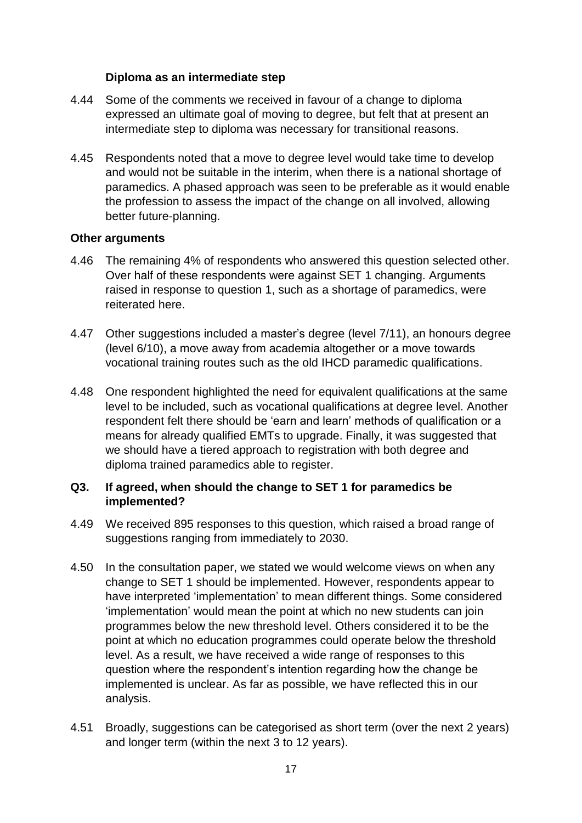#### **Diploma as an intermediate step**

- 4.44 Some of the comments we received in favour of a change to diploma expressed an ultimate goal of moving to degree, but felt that at present an intermediate step to diploma was necessary for transitional reasons.
- 4.45 Respondents noted that a move to degree level would take time to develop and would not be suitable in the interim, when there is a national shortage of paramedics. A phased approach was seen to be preferable as it would enable the profession to assess the impact of the change on all involved, allowing better future-planning.

#### **Other arguments**

- 4.46 The remaining 4% of respondents who answered this question selected other. Over half of these respondents were against SET 1 changing. Arguments raised in response to question 1, such as a shortage of paramedics, were reiterated here.
- 4.47 Other suggestions included a master's degree (level 7/11), an honours degree (level 6/10), a move away from academia altogether or a move towards vocational training routes such as the old IHCD paramedic qualifications.
- 4.48 One respondent highlighted the need for equivalent qualifications at the same level to be included, such as vocational qualifications at degree level. Another respondent felt there should be 'earn and learn' methods of qualification or a means for already qualified EMTs to upgrade. Finally, it was suggested that we should have a tiered approach to registration with both degree and diploma trained paramedics able to register.

#### **Q3. If agreed, when should the change to SET 1 for paramedics be implemented?**

- 4.49 We received 895 responses to this question, which raised a broad range of suggestions ranging from immediately to 2030.
- 4.50 In the consultation paper, we stated we would welcome views on when any change to SET 1 should be implemented. However, respondents appear to have interpreted 'implementation' to mean different things. Some considered 'implementation' would mean the point at which no new students can join programmes below the new threshold level. Others considered it to be the point at which no education programmes could operate below the threshold level. As a result, we have received a wide range of responses to this question where the respondent's intention regarding how the change be implemented is unclear. As far as possible, we have reflected this in our analysis.
- 4.51 Broadly, suggestions can be categorised as short term (over the next 2 years) and longer term (within the next 3 to 12 years).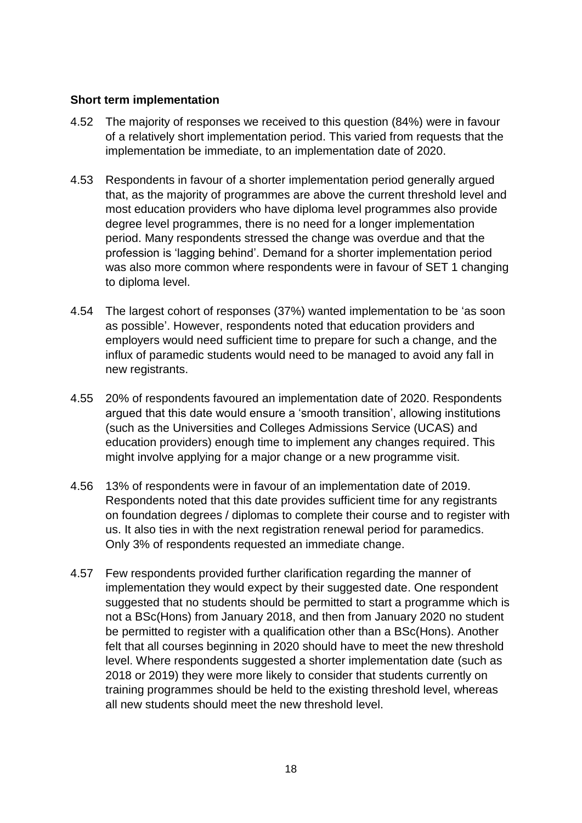#### **Short term implementation**

- 4.52 The majority of responses we received to this question (84%) were in favour of a relatively short implementation period. This varied from requests that the implementation be immediate, to an implementation date of 2020.
- 4.53 Respondents in favour of a shorter implementation period generally argued that, as the majority of programmes are above the current threshold level and most education providers who have diploma level programmes also provide degree level programmes, there is no need for a longer implementation period. Many respondents stressed the change was overdue and that the profession is 'lagging behind'. Demand for a shorter implementation period was also more common where respondents were in favour of SET 1 changing to diploma level.
- 4.54 The largest cohort of responses (37%) wanted implementation to be 'as soon as possible'. However, respondents noted that education providers and employers would need sufficient time to prepare for such a change, and the influx of paramedic students would need to be managed to avoid any fall in new registrants.
- 4.55 20% of respondents favoured an implementation date of 2020. Respondents argued that this date would ensure a 'smooth transition', allowing institutions (such as the Universities and Colleges Admissions Service (UCAS) and education providers) enough time to implement any changes required. This might involve applying for a major change or a new programme visit.
- 4.56 13% of respondents were in favour of an implementation date of 2019. Respondents noted that this date provides sufficient time for any registrants on foundation degrees / diplomas to complete their course and to register with us. It also ties in with the next registration renewal period for paramedics. Only 3% of respondents requested an immediate change.
- 4.57 Few respondents provided further clarification regarding the manner of implementation they would expect by their suggested date. One respondent suggested that no students should be permitted to start a programme which is not a BSc(Hons) from January 2018, and then from January 2020 no student be permitted to register with a qualification other than a BSc(Hons). Another felt that all courses beginning in 2020 should have to meet the new threshold level. Where respondents suggested a shorter implementation date (such as 2018 or 2019) they were more likely to consider that students currently on training programmes should be held to the existing threshold level, whereas all new students should meet the new threshold level.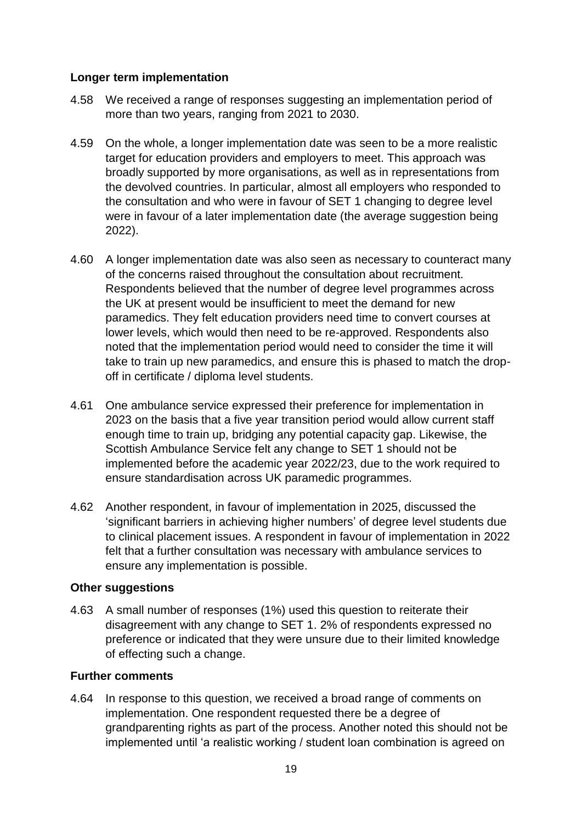#### **Longer term implementation**

- 4.58 We received a range of responses suggesting an implementation period of more than two years, ranging from 2021 to 2030.
- 4.59 On the whole, a longer implementation date was seen to be a more realistic target for education providers and employers to meet. This approach was broadly supported by more organisations, as well as in representations from the devolved countries. In particular, almost all employers who responded to the consultation and who were in favour of SET 1 changing to degree level were in favour of a later implementation date (the average suggestion being 2022).
- 4.60 A longer implementation date was also seen as necessary to counteract many of the concerns raised throughout the consultation about recruitment. Respondents believed that the number of degree level programmes across the UK at present would be insufficient to meet the demand for new paramedics. They felt education providers need time to convert courses at lower levels, which would then need to be re-approved. Respondents also noted that the implementation period would need to consider the time it will take to train up new paramedics, and ensure this is phased to match the dropoff in certificate / diploma level students.
- 4.61 One ambulance service expressed their preference for implementation in 2023 on the basis that a five year transition period would allow current staff enough time to train up, bridging any potential capacity gap. Likewise, the Scottish Ambulance Service felt any change to SET 1 should not be implemented before the academic year 2022/23, due to the work required to ensure standardisation across UK paramedic programmes.
- 4.62 Another respondent, in favour of implementation in 2025, discussed the 'significant barriers in achieving higher numbers' of degree level students due to clinical placement issues. A respondent in favour of implementation in 2022 felt that a further consultation was necessary with ambulance services to ensure any implementation is possible.

#### **Other suggestions**

4.63 A small number of responses (1%) used this question to reiterate their disagreement with any change to SET 1. 2% of respondents expressed no preference or indicated that they were unsure due to their limited knowledge of effecting such a change.

## **Further comments**

4.64 In response to this question, we received a broad range of comments on implementation. One respondent requested there be a degree of grandparenting rights as part of the process. Another noted this should not be implemented until 'a realistic working / student loan combination is agreed on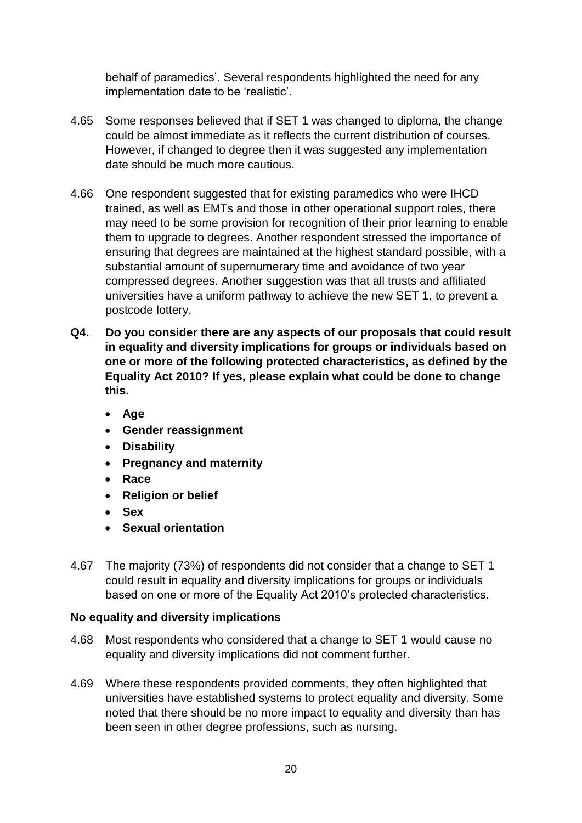behalf of paramedics'. Several respondents highlighted the need for any implementation date to be 'realistic'.

- 4.65 Some responses believed that if SET 1 was changed to diploma, the change could be almost immediate as it reflects the current distribution of courses. However, if changed to degree then it was suggested any implementation date should be much more cautious.
- 4.66 One respondent suggested that for existing paramedics who were IHCD trained, as well as EMTs and those in other operational support roles, there may need to be some provision for recognition of their prior learning to enable them to upgrade to degrees. Another respondent stressed the importance of ensuring that degrees are maintained at the highest standard possible, with a substantial amount of supernumerary time and avoidance of two year compressed degrees. Another suggestion was that all trusts and affiliated universities have a uniform pathway to achieve the new SET 1, to prevent a postcode lottery.
- **Q4. Do you consider there are any aspects of our proposals that could result in equality and diversity implications for groups or individuals based on one or more of the following protected characteristics, as defined by the Equality Act 2010? If yes, please explain what could be done to change this.**
	- **Age**
	- **Gender reassignment**
	- **Disability**
	- **Pregnancy and maternity**
	- **Race**
	- **Religion or belief**
	- **Sex**
	- **Sexual orientation**
- 4.67 The majority (73%) of respondents did not consider that a change to SET 1 could result in equality and diversity implications for groups or individuals based on one or more of the Equality Act 2010's protected characteristics.

## **No equality and diversity implications**

- 4.68 Most respondents who considered that a change to SET 1 would cause no equality and diversity implications did not comment further.
- 4.69 Where these respondents provided comments, they often highlighted that universities have established systems to protect equality and diversity. Some noted that there should be no more impact to equality and diversity than has been seen in other degree professions, such as nursing.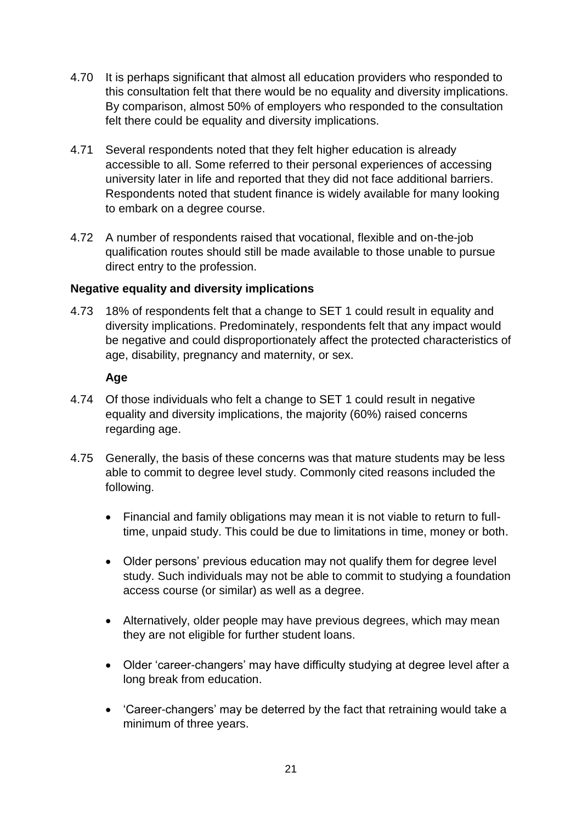- 4.70 It is perhaps significant that almost all education providers who responded to this consultation felt that there would be no equality and diversity implications. By comparison, almost 50% of employers who responded to the consultation felt there could be equality and diversity implications.
- 4.71 Several respondents noted that they felt higher education is already accessible to all. Some referred to their personal experiences of accessing university later in life and reported that they did not face additional barriers. Respondents noted that student finance is widely available for many looking to embark on a degree course.
- 4.72 A number of respondents raised that vocational, flexible and on-the-job qualification routes should still be made available to those unable to pursue direct entry to the profession.

## **Negative equality and diversity implications**

4.73 18% of respondents felt that a change to SET 1 could result in equality and diversity implications. Predominately, respondents felt that any impact would be negative and could disproportionately affect the protected characteristics of age, disability, pregnancy and maternity, or sex.

#### **Age**

- 4.74 Of those individuals who felt a change to SET 1 could result in negative equality and diversity implications, the majority (60%) raised concerns regarding age.
- 4.75 Generally, the basis of these concerns was that mature students may be less able to commit to degree level study. Commonly cited reasons included the following.
	- Financial and family obligations may mean it is not viable to return to fulltime, unpaid study. This could be due to limitations in time, money or both.
	- Older persons' previous education may not qualify them for degree level study. Such individuals may not be able to commit to studying a foundation access course (or similar) as well as a degree.
	- Alternatively, older people may have previous degrees, which may mean they are not eligible for further student loans.
	- Older 'career-changers' may have difficulty studying at degree level after a long break from education.
	- 'Career-changers' may be deterred by the fact that retraining would take a minimum of three years.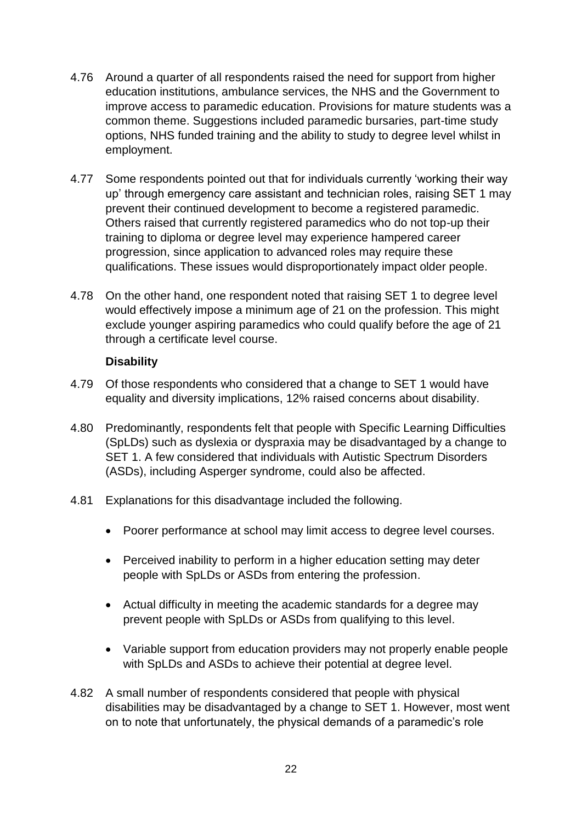- 4.76 Around a quarter of all respondents raised the need for support from higher education institutions, ambulance services, the NHS and the Government to improve access to paramedic education. Provisions for mature students was a common theme. Suggestions included paramedic bursaries, part-time study options, NHS funded training and the ability to study to degree level whilst in employment.
- 4.77 Some respondents pointed out that for individuals currently 'working their way up' through emergency care assistant and technician roles, raising SET 1 may prevent their continued development to become a registered paramedic. Others raised that currently registered paramedics who do not top-up their training to diploma or degree level may experience hampered career progression, since application to advanced roles may require these qualifications. These issues would disproportionately impact older people.
- 4.78 On the other hand, one respondent noted that raising SET 1 to degree level would effectively impose a minimum age of 21 on the profession. This might exclude younger aspiring paramedics who could qualify before the age of 21 through a certificate level course.

#### **Disability**

- 4.79 Of those respondents who considered that a change to SET 1 would have equality and diversity implications, 12% raised concerns about disability.
- 4.80 Predominantly, respondents felt that people with Specific Learning Difficulties (SpLDs) such as dyslexia or dyspraxia may be disadvantaged by a change to SET 1. A few considered that individuals with Autistic Spectrum Disorders (ASDs), including Asperger syndrome, could also be affected.
- 4.81 Explanations for this disadvantage included the following.
	- Poorer performance at school may limit access to degree level courses.
	- Perceived inability to perform in a higher education setting may deter people with SpLDs or ASDs from entering the profession.
	- Actual difficulty in meeting the academic standards for a degree may prevent people with SpLDs or ASDs from qualifying to this level.
	- Variable support from education providers may not properly enable people with SpLDs and ASDs to achieve their potential at degree level.
- 4.82 A small number of respondents considered that people with physical disabilities may be disadvantaged by a change to SET 1. However, most went on to note that unfortunately, the physical demands of a paramedic's role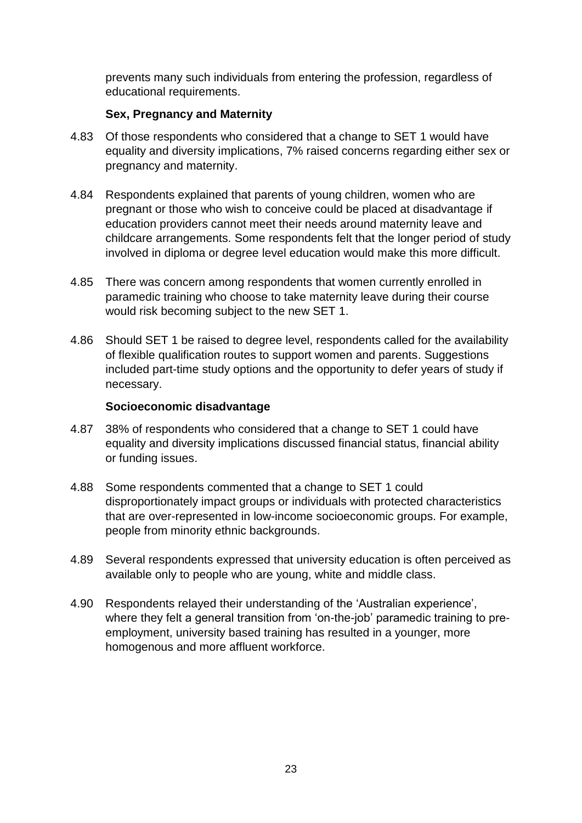prevents many such individuals from entering the profession, regardless of educational requirements.

## **Sex, Pregnancy and Maternity**

- 4.83 Of those respondents who considered that a change to SET 1 would have equality and diversity implications, 7% raised concerns regarding either sex or pregnancy and maternity.
- 4.84 Respondents explained that parents of young children, women who are pregnant or those who wish to conceive could be placed at disadvantage if education providers cannot meet their needs around maternity leave and childcare arrangements. Some respondents felt that the longer period of study involved in diploma or degree level education would make this more difficult.
- 4.85 There was concern among respondents that women currently enrolled in paramedic training who choose to take maternity leave during their course would risk becoming subject to the new SET 1.
- 4.86 Should SET 1 be raised to degree level, respondents called for the availability of flexible qualification routes to support women and parents. Suggestions included part-time study options and the opportunity to defer years of study if necessary.

#### **Socioeconomic disadvantage**

- 4.87 38% of respondents who considered that a change to SET 1 could have equality and diversity implications discussed financial status, financial ability or funding issues.
- 4.88 Some respondents commented that a change to SET 1 could disproportionately impact groups or individuals with protected characteristics that are over-represented in low-income socioeconomic groups. For example, people from minority ethnic backgrounds.
- 4.89 Several respondents expressed that university education is often perceived as available only to people who are young, white and middle class.
- 4.90 Respondents relayed their understanding of the 'Australian experience', where they felt a general transition from 'on-the-job' paramedic training to preemployment, university based training has resulted in a younger, more homogenous and more affluent workforce.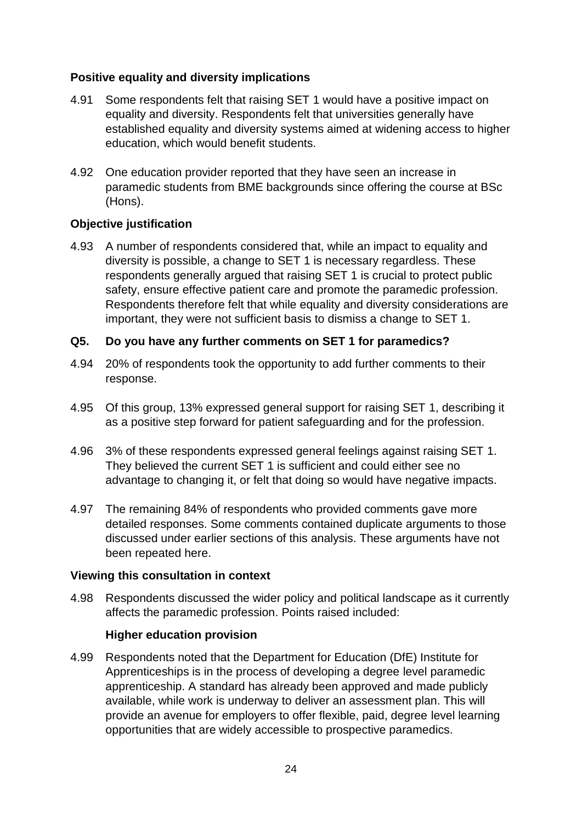#### **Positive equality and diversity implications**

- 4.91 Some respondents felt that raising SET 1 would have a positive impact on equality and diversity. Respondents felt that universities generally have established equality and diversity systems aimed at widening access to higher education, which would benefit students.
- 4.92 One education provider reported that they have seen an increase in paramedic students from BME backgrounds since offering the course at BSc (Hons).

#### **Objective justification**

4.93 A number of respondents considered that, while an impact to equality and diversity is possible, a change to SET 1 is necessary regardless. These respondents generally argued that raising SET 1 is crucial to protect public safety, ensure effective patient care and promote the paramedic profession. Respondents therefore felt that while equality and diversity considerations are important, they were not sufficient basis to dismiss a change to SET 1.

#### **Q5. Do you have any further comments on SET 1 for paramedics?**

- 4.94 20% of respondents took the opportunity to add further comments to their response.
- 4.95 Of this group, 13% expressed general support for raising SET 1, describing it as a positive step forward for patient safeguarding and for the profession.
- 4.96 3% of these respondents expressed general feelings against raising SET 1. They believed the current SET 1 is sufficient and could either see no advantage to changing it, or felt that doing so would have negative impacts.
- 4.97 The remaining 84% of respondents who provided comments gave more detailed responses. Some comments contained duplicate arguments to those discussed under earlier sections of this analysis. These arguments have not been repeated here.

#### **Viewing this consultation in context**

4.98 Respondents discussed the wider policy and political landscape as it currently affects the paramedic profession. Points raised included:

#### **Higher education provision**

4.99 Respondents noted that the Department for Education (DfE) Institute for Apprenticeships is in the process of developing a degree level paramedic apprenticeship. A standard has already been approved and made publicly available, while work is underway to deliver an assessment plan. This will provide an avenue for employers to offer flexible, paid, degree level learning opportunities that are widely accessible to prospective paramedics.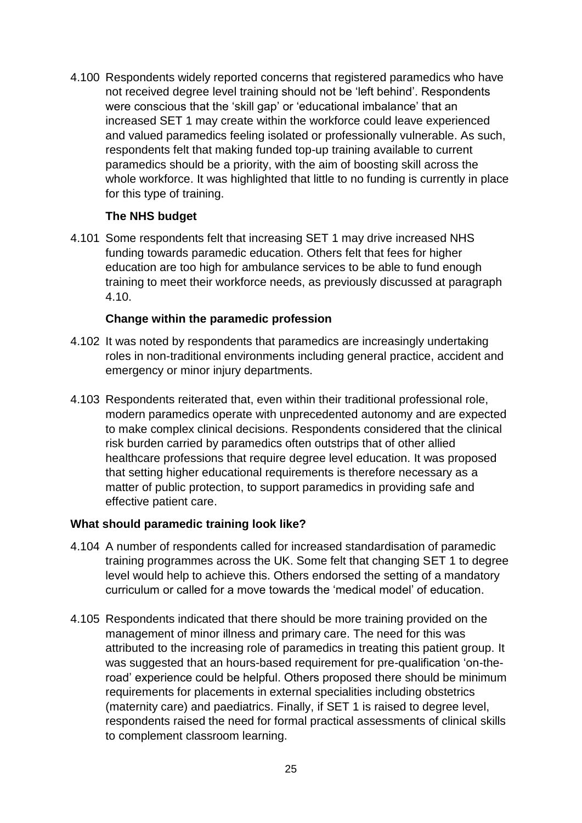4.100 Respondents widely reported concerns that registered paramedics who have not received degree level training should not be 'left behind'. Respondents were conscious that the 'skill gap' or 'educational imbalance' that an increased SET 1 may create within the workforce could leave experienced and valued paramedics feeling isolated or professionally vulnerable. As such, respondents felt that making funded top-up training available to current paramedics should be a priority, with the aim of boosting skill across the whole workforce. It was highlighted that little to no funding is currently in place for this type of training.

#### **The NHS budget**

4.101 Some respondents felt that increasing SET 1 may drive increased NHS funding towards paramedic education. Others felt that fees for higher education are too high for ambulance services to be able to fund enough training to meet their workforce needs, as previously discussed at paragraph 4.10.

#### **Change within the paramedic profession**

- 4.102 It was noted by respondents that paramedics are increasingly undertaking roles in non-traditional environments including general practice, accident and emergency or minor injury departments.
- 4.103 Respondents reiterated that, even within their traditional professional role, modern paramedics operate with unprecedented autonomy and are expected to make complex clinical decisions. Respondents considered that the clinical risk burden carried by paramedics often outstrips that of other allied healthcare professions that require degree level education. It was proposed that setting higher educational requirements is therefore necessary as a matter of public protection, to support paramedics in providing safe and effective patient care.

#### **What should paramedic training look like?**

- 4.104 A number of respondents called for increased standardisation of paramedic training programmes across the UK. Some felt that changing SET 1 to degree level would help to achieve this. Others endorsed the setting of a mandatory curriculum or called for a move towards the 'medical model' of education.
- 4.105 Respondents indicated that there should be more training provided on the management of minor illness and primary care. The need for this was attributed to the increasing role of paramedics in treating this patient group. It was suggested that an hours-based requirement for pre-qualification 'on-theroad' experience could be helpful. Others proposed there should be minimum requirements for placements in external specialities including obstetrics (maternity care) and paediatrics. Finally, if SET 1 is raised to degree level, respondents raised the need for formal practical assessments of clinical skills to complement classroom learning.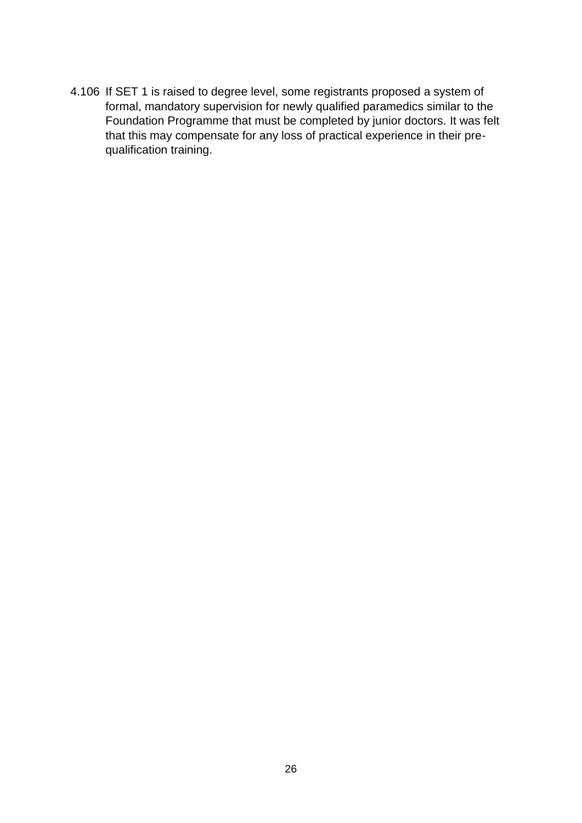4.106 If SET 1 is raised to degree level, some registrants proposed a system of formal, mandatory supervision for newly qualified paramedics similar to the Foundation Programme that must be completed by junior doctors. It was felt that this may compensate for any loss of practical experience in their prequalification training.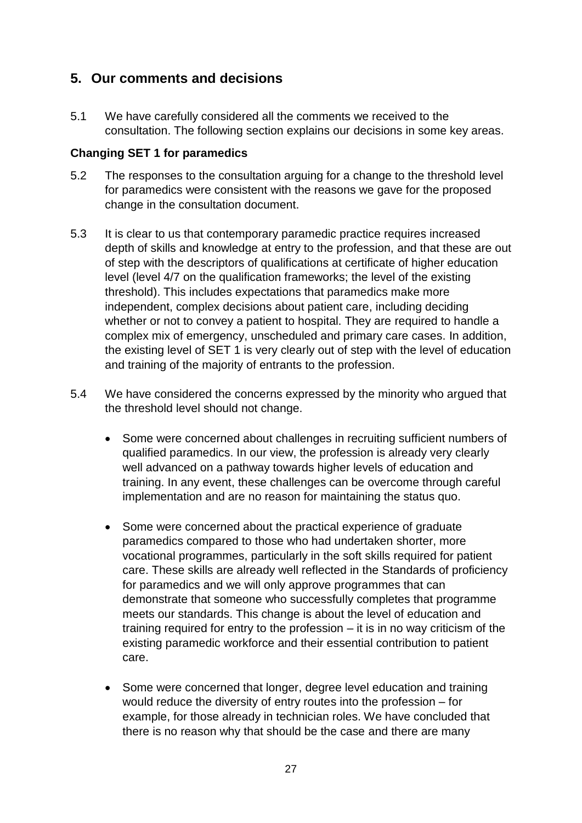## **5. Our comments and decisions**

5.1 We have carefully considered all the comments we received to the consultation. The following section explains our decisions in some key areas.

## **Changing SET 1 for paramedics**

- 5.2 The responses to the consultation arguing for a change to the threshold level for paramedics were consistent with the reasons we gave for the proposed change in the consultation document.
- 5.3 It is clear to us that contemporary paramedic practice requires increased depth of skills and knowledge at entry to the profession, and that these are out of step with the descriptors of qualifications at certificate of higher education level (level 4/7 on the qualification frameworks; the level of the existing threshold). This includes expectations that paramedics make more independent, complex decisions about patient care, including deciding whether or not to convey a patient to hospital. They are required to handle a complex mix of emergency, unscheduled and primary care cases. In addition, the existing level of SET 1 is very clearly out of step with the level of education and training of the majority of entrants to the profession.
- 5.4 We have considered the concerns expressed by the minority who argued that the threshold level should not change.
	- Some were concerned about challenges in recruiting sufficient numbers of qualified paramedics. In our view, the profession is already very clearly well advanced on a pathway towards higher levels of education and training. In any event, these challenges can be overcome through careful implementation and are no reason for maintaining the status quo.
	- Some were concerned about the practical experience of graduate paramedics compared to those who had undertaken shorter, more vocational programmes, particularly in the soft skills required for patient care. These skills are already well reflected in the Standards of proficiency for paramedics and we will only approve programmes that can demonstrate that someone who successfully completes that programme meets our standards. This change is about the level of education and training required for entry to the profession – it is in no way criticism of the existing paramedic workforce and their essential contribution to patient care.
	- Some were concerned that longer, degree level education and training would reduce the diversity of entry routes into the profession – for example, for those already in technician roles. We have concluded that there is no reason why that should be the case and there are many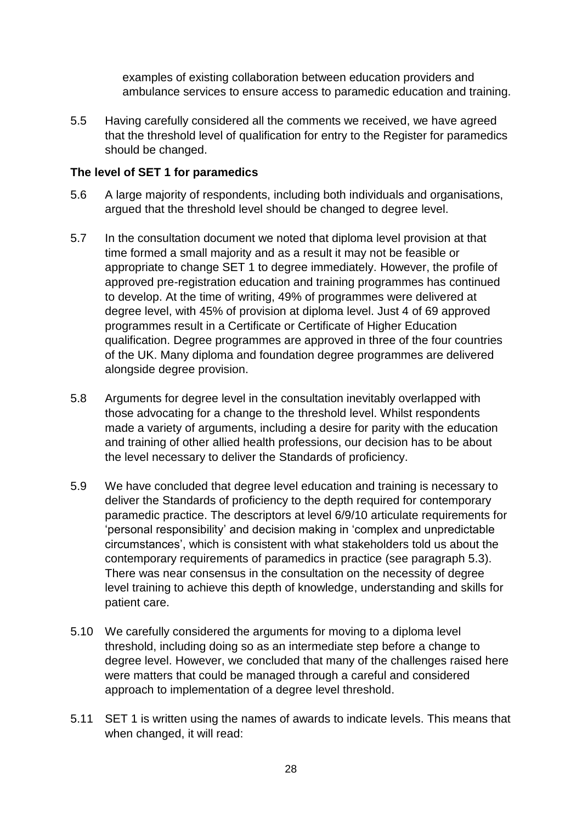examples of existing collaboration between education providers and ambulance services to ensure access to paramedic education and training.

5.5 Having carefully considered all the comments we received, we have agreed that the threshold level of qualification for entry to the Register for paramedics should be changed.

#### **The level of SET 1 for paramedics**

- 5.6 A large majority of respondents, including both individuals and organisations, argued that the threshold level should be changed to degree level.
- 5.7 In the consultation document we noted that diploma level provision at that time formed a small majority and as a result it may not be feasible or appropriate to change SET 1 to degree immediately. However, the profile of approved pre-registration education and training programmes has continued to develop. At the time of writing, 49% of programmes were delivered at degree level, with 45% of provision at diploma level. Just 4 of 69 approved programmes result in a Certificate or Certificate of Higher Education qualification. Degree programmes are approved in three of the four countries of the UK. Many diploma and foundation degree programmes are delivered alongside degree provision.
- 5.8 Arguments for degree level in the consultation inevitably overlapped with those advocating for a change to the threshold level. Whilst respondents made a variety of arguments, including a desire for parity with the education and training of other allied health professions, our decision has to be about the level necessary to deliver the Standards of proficiency.
- 5.9 We have concluded that degree level education and training is necessary to deliver the Standards of proficiency to the depth required for contemporary paramedic practice. The descriptors at level 6/9/10 articulate requirements for 'personal responsibility' and decision making in 'complex and unpredictable circumstances', which is consistent with what stakeholders told us about the contemporary requirements of paramedics in practice (see paragraph 5.3). There was near consensus in the consultation on the necessity of degree level training to achieve this depth of knowledge, understanding and skills for patient care.
- 5.10 We carefully considered the arguments for moving to a diploma level threshold, including doing so as an intermediate step before a change to degree level. However, we concluded that many of the challenges raised here were matters that could be managed through a careful and considered approach to implementation of a degree level threshold.
- 5.11 SET 1 is written using the names of awards to indicate levels. This means that when changed, it will read: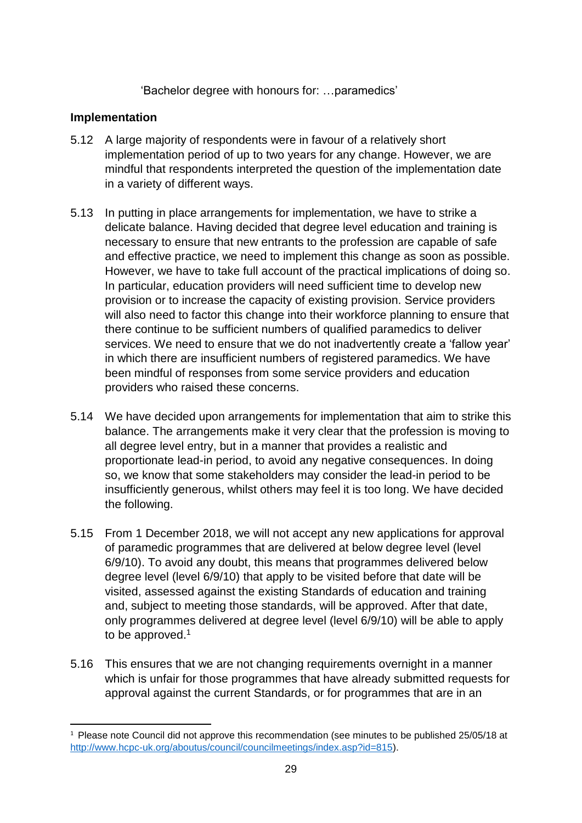'Bachelor degree with honours for: …paramedics'

#### **Implementation**

- 5.12 A large majority of respondents were in favour of a relatively short implementation period of up to two years for any change. However, we are mindful that respondents interpreted the question of the implementation date in a variety of different ways.
- 5.13 In putting in place arrangements for implementation, we have to strike a delicate balance. Having decided that degree level education and training is necessary to ensure that new entrants to the profession are capable of safe and effective practice, we need to implement this change as soon as possible. However, we have to take full account of the practical implications of doing so. In particular, education providers will need sufficient time to develop new provision or to increase the capacity of existing provision. Service providers will also need to factor this change into their workforce planning to ensure that there continue to be sufficient numbers of qualified paramedics to deliver services. We need to ensure that we do not inadvertently create a 'fallow year' in which there are insufficient numbers of registered paramedics. We have been mindful of responses from some service providers and education providers who raised these concerns.
- 5.14 We have decided upon arrangements for implementation that aim to strike this balance. The arrangements make it very clear that the profession is moving to all degree level entry, but in a manner that provides a realistic and proportionate lead-in period, to avoid any negative consequences. In doing so, we know that some stakeholders may consider the lead-in period to be insufficiently generous, whilst others may feel it is too long. We have decided the following.
- 5.15 From 1 December 2018, we will not accept any new applications for approval of paramedic programmes that are delivered at below degree level (level 6/9/10). To avoid any doubt, this means that programmes delivered below degree level (level 6/9/10) that apply to be visited before that date will be visited, assessed against the existing Standards of education and training and, subject to meeting those standards, will be approved. After that date, only programmes delivered at degree level (level 6/9/10) will be able to apply to be approved.<sup>1</sup>
- 5.16 This ensures that we are not changing requirements overnight in a manner which is unfair for those programmes that have already submitted requests for approval against the current Standards, or for programmes that are in an

<sup>1</sup> <sup>1</sup> Please note Council did not approve this recommendation (see minutes to be published 25/05/18 at http://www.hcpc-uk.org/aboutus/council/councilmeetings/index.asp?id=815).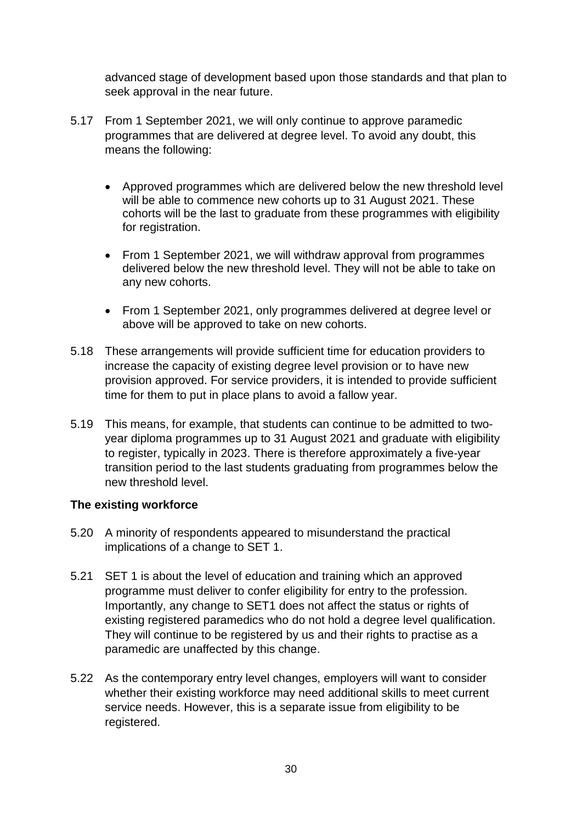advanced stage of development based upon those standards and that plan to seek approval in the near future.

- 5.17 From 1 September 2021, we will only continue to approve paramedic programmes that are delivered at degree level. To avoid any doubt, this means the following:
	- Approved programmes which are delivered below the new threshold level will be able to commence new cohorts up to 31 August 2021. These cohorts will be the last to graduate from these programmes with eligibility for registration.
	- From 1 September 2021, we will withdraw approval from programmes delivered below the new threshold level. They will not be able to take on any new cohorts.
	- From 1 September 2021, only programmes delivered at degree level or above will be approved to take on new cohorts.
- 5.18 These arrangements will provide sufficient time for education providers to increase the capacity of existing degree level provision or to have new provision approved. For service providers, it is intended to provide sufficient time for them to put in place plans to avoid a fallow year.
- 5.19 This means, for example, that students can continue to be admitted to twoyear diploma programmes up to 31 August 2021 and graduate with eligibility to register, typically in 2023. There is therefore approximately a five-year transition period to the last students graduating from programmes below the new threshold level.

## **The existing workforce**

- 5.20 A minority of respondents appeared to misunderstand the practical implications of a change to SET 1.
- 5.21 SET 1 is about the level of education and training which an approved programme must deliver to confer eligibility for entry to the profession. Importantly, any change to SET1 does not affect the status or rights of existing registered paramedics who do not hold a degree level qualification. They will continue to be registered by us and their rights to practise as a paramedic are unaffected by this change.
- 5.22 As the contemporary entry level changes, employers will want to consider whether their existing workforce may need additional skills to meet current service needs. However, this is a separate issue from eligibility to be registered.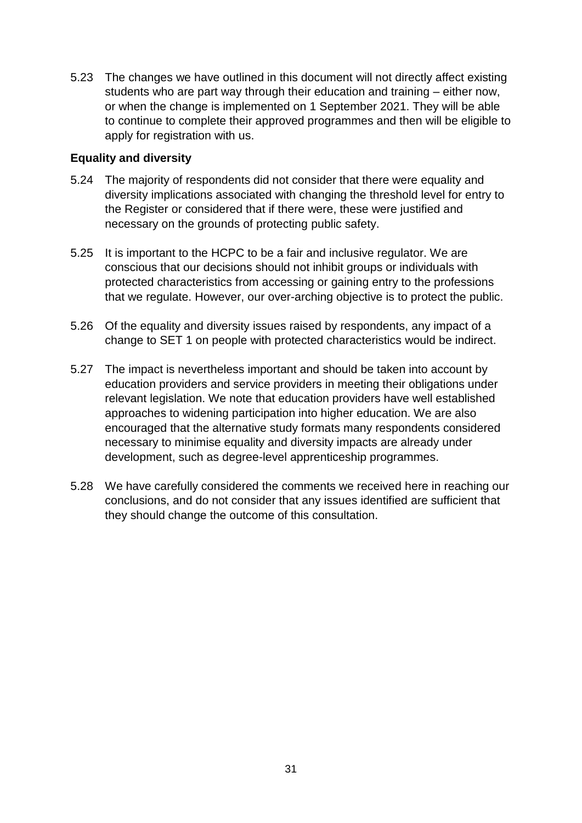5.23 The changes we have outlined in this document will not directly affect existing students who are part way through their education and training – either now, or when the change is implemented on 1 September 2021. They will be able to continue to complete their approved programmes and then will be eligible to apply for registration with us.

#### **Equality and diversity**

- 5.24 The majority of respondents did not consider that there were equality and diversity implications associated with changing the threshold level for entry to the Register or considered that if there were, these were justified and necessary on the grounds of protecting public safety.
- 5.25 It is important to the HCPC to be a fair and inclusive regulator. We are conscious that our decisions should not inhibit groups or individuals with protected characteristics from accessing or gaining entry to the professions that we regulate. However, our over-arching objective is to protect the public.
- 5.26 Of the equality and diversity issues raised by respondents, any impact of a change to SET 1 on people with protected characteristics would be indirect.
- 5.27 The impact is nevertheless important and should be taken into account by education providers and service providers in meeting their obligations under relevant legislation. We note that education providers have well established approaches to widening participation into higher education. We are also encouraged that the alternative study formats many respondents considered necessary to minimise equality and diversity impacts are already under development, such as degree-level apprenticeship programmes.
- 5.28 We have carefully considered the comments we received here in reaching our conclusions, and do not consider that any issues identified are sufficient that they should change the outcome of this consultation.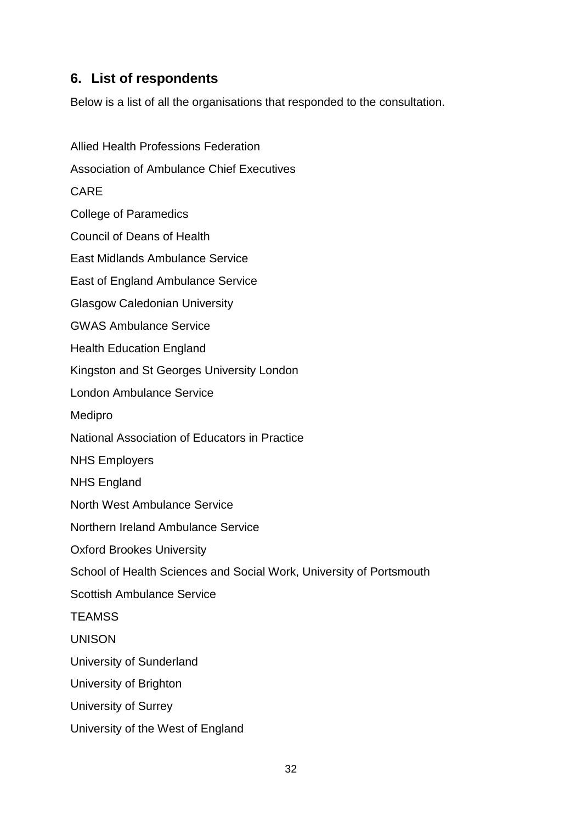## **6. List of respondents**

Below is a list of all the organisations that responded to the consultation.

Allied Health Professions Federation Association of Ambulance Chief Executives CARE College of Paramedics Council of Deans of Health East Midlands Ambulance Service East of England Ambulance Service Glasgow Caledonian University GWAS Ambulance Service Health Education England Kingston and St Georges University London London Ambulance Service Medipro National Association of Educators in Practice NHS Employers NHS England North West Ambulance Service Northern Ireland Ambulance Service Oxford Brookes University School of Health Sciences and Social Work, University of Portsmouth Scottish Ambulance Service **TFAMSS** UNISON University of Sunderland University of Brighton University of Surrey University of the West of England